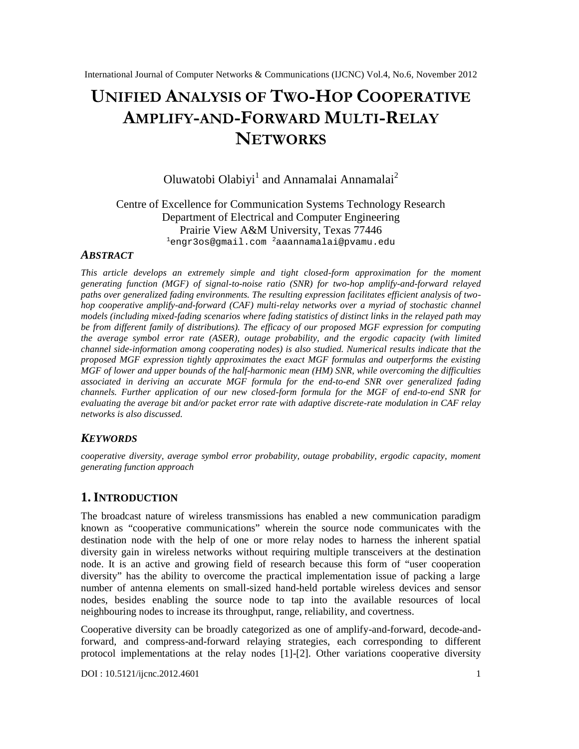# UNIFIEDAN ALYSIS TOMFO-HOPCOOPERATIVE AMPLIF-AND-FORWARMOULTHRELAY NETWORKS

# Oluwatobi Olabiyi andAnnamalai Annamalat

# Centre of Excellence for Communication Systems Technology Research Department of Electrical and Computer Engineering Prairie ViewA&M University, Texas 77446  $1$ [engr3os@gmail.com](mailto:1engr3os@gmail.com)  $2$ [aaannamalai@pvamu.edu](mailto:2aaannamalai@pvamu.edu)

### **ABSTRACT**

This article develops an extremely simple and tight closed approximation for the moment generating function (MGF) of signab-noise ratio (SNR) for twhop amplifyand-forward relayed paths over generalized fading environments. The resulting expression facilitates efficient analysis of two hop cooperative amplifand-forward (CAF) multirelay networks over a myriad of stochastic channel models (including mixetading scenaos where fading statistics of distinct links in the relayed path may be from different family of distributions). The efficacy of our proposed MGF expression for computing the average symbol error rate (ASER), outage probability, and the ergodic capathy limited channel sidenformation among cooperating nodes) is also studied. Numerical results indicate that the proposed MGF expression tightly approximates the exact MGF formulas and outperforms the existing MGF of lower and upper bounds of the half monic mean (HM) SNR, while overcoming the difficulties associated in deriving an accurate MGF formula for the tand and SNR over generalized fading channels. Further application of our new closied m formula for the MGF of ento-end SNR for evaluating the average bit and/or packet error rate with adaptive discretive modulation in CAF relay networks is also discussed.

## **KEYWORDS**

cooperativediversity, average symbol error probability, outage probability, ergodic capacity, moment generating function approach

# 1.I NTRODUCTION

The broadcast nature of wireless transmissions has enabled a new communication paradigm known as €cooperative commuations• wherein the source node communicates with the destination node with the help of one or more relay nodes to harness the inherent spatial diversity gain in wireless networks without requiring multiple transceivers at the destination node. It is an ative and growing field of research because this form of  $\epsilon$ user cooperation diversity• has the ability to overcome the practical implementation issue of packing a large number of antenna elements on sraided handheld portable wireless devices and sensor nodes, besides enabling the source node to tap into the available resources of local neighbouring nodes to increase its throughput, range, reliability, and covertness.

Cooperative diversity can be broadly categorized as one of araplifforward, decodendforward, and compresandforward relaying strategies, each corresponding to different protocol implementations at the relay nodes  $[2]$ . Other variations cooperative diversity

DOI : 10.5121/ijcnc.2012.4601 1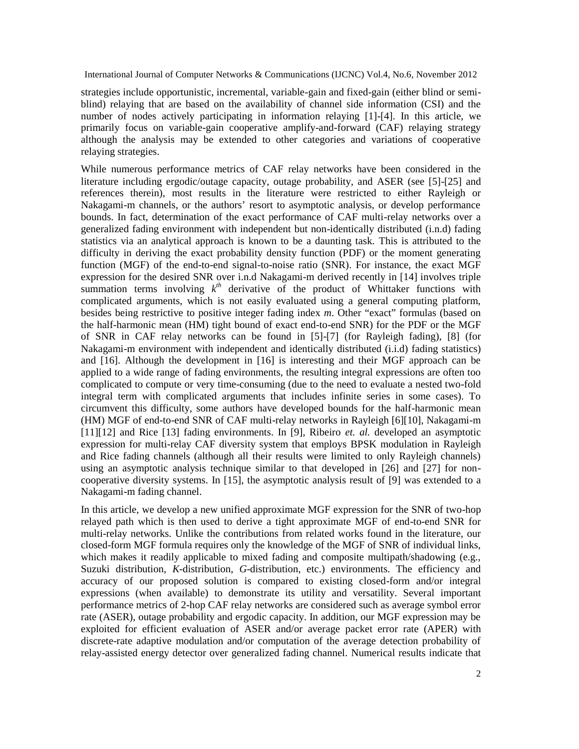strategies include opportunistic, incremental, variable-gain and fixed-gain (either blind or semiblind) relaying that are based on the availability of channel side information (CSI) and the number of nodes actively participating in information relaying [1]-[4]. In this article, we primarily focus on variable-gain cooperative amplify-and-forward (CAF) relaying strategy although the analysis may be extended to other categories and variations of cooperative relaying strategies.

While numerous performance metrics of CAF relay networks have been considered in the literature including ergodic/outage capacity, outage probability, and ASER (see [5]-[25] and references therein), most results in the literature were restricted to either Rayleigh or Nakagami-m channels, or the authors' resort to asymptotic analysis, or develop performance bounds. In fact, determination of the exact performance of CAF multi-relay networks over a generalized fading environment with independent but non-identically distributed (i.n.d) fading statistics via an analytical approach is known to be a daunting task. This is attributed to the difficulty in deriving the exact probability density function (PDF) or the moment generating function (MGF) of the end-to-end signal-to-noise ratio (SNR). For instance, the exact MGF expression for the desired SNR over i.n.d Nakagami-m derived recently in [14] involves triple summation terms involving  $k^{th}$  derivative of the product of Whittaker functions with complicated arguments, which is not easily evaluated using a general computing platform, besides being restrictive to positive integer fading index *m*. Other "exact" formulas (based on the half-harmonic mean (HM) tight bound of exact end-to-end SNR) for the PDF or the MGF of SNR in CAF relay networks can be found in [5]-[7] (for Rayleigh fading), [8] (for Nakagami-m environment with independent and identically distributed (i.i.d) fading statistics) and [16]. Although the development in [16] is interesting and their MGF approach can be applied to a wide range of fading environments, the resulting integral expressions are often too complicated to compute or very time-consuming (due to the need to evaluate a nested two-fold integral term with complicated arguments that includes infinite series in some cases). To circumvent this difficulty, some authors have developed bounds for the half-harmonic mean (HM) MGF of end-to-end SNR of CAF multi-relay networks in Rayleigh [6][10], Nakagami-m [11][12] and Rice [13] fading environments. In [9], Ribeiro *et. al.* developed an asymptotic expression for multi-relay CAF diversity system that employs BPSK modulation in Rayleigh and Rice fading channels (although all their results were limited to only Rayleigh channels) using an asymptotic analysis technique similar to that developed in [26] and [27] for noncooperative diversity systems. In [15], the asymptotic analysis result of [9] was extended to a Nakagami-m fading channel.

In this article, we develop a new unified approximate MGF expression for the SNR of two-hop relayed path which is then used to derive a tight approximate MGF of end-to-end SNR for multi-relay networks. Unlike the contributions from related works found in the literature, our closed-form MGF formula requires only the knowledge of the MGF of SNR of individual links, which makes it readily applicable to mixed fading and composite multipath/shadowing (e.g., Suzuki distribution, *K*-distribution, *G*-distribution, etc.) environments. The efficiency and accuracy of our proposed solution is compared to existing closed-form and/or integral expressions (when available) to demonstrate its utility and versatility. Several important performance metrics of 2-hop CAF relay networks are considered such as average symbol error rate (ASER), outage probability and ergodic capacity. In addition, our MGF expression may be exploited for efficient evaluation of ASER and/or average packet error rate (APER) with discrete-rate adaptive modulation and/or computation of the average detection probability of relay-assisted energy detector over generalized fading channel. Numerical results indicate that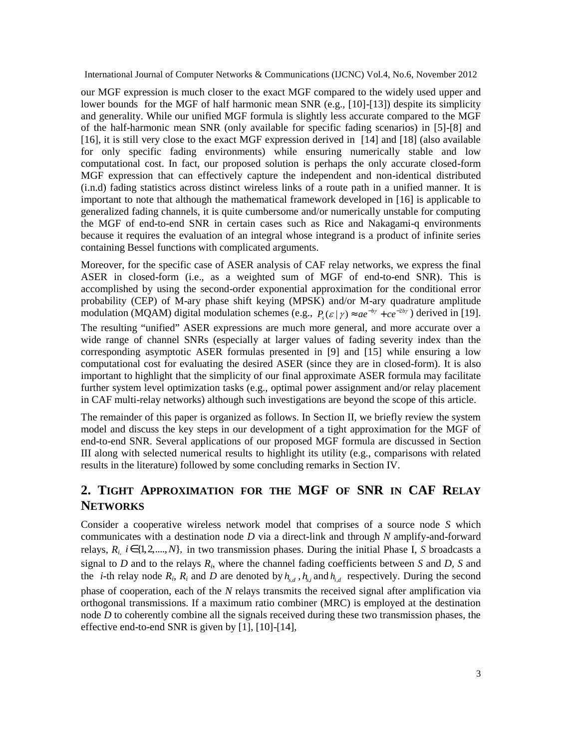our MGF expression is much closer to the exact MGF compared to the widely used upper and lower bounds for the MGF of half harmonic mean SNR (e.g., [10]-[13]) despite its simplicity and generality. While our unified MGF formula is slightly less accurate compared to the MGF of the half-harmonic mean SNR (only available for specific fading scenarios) in [5]-[8] and [16], it is still very close to the exact MGF expression derived in [14] and [18] (also available for only specific fading environments) while ensuring numerically stable and low computational cost. In fact, our proposed solution is perhaps the only accurate closed-form MGF expression that can effectively capture the independent and non-identical distributed (i.n.d) fading statistics across distinct wireless links of a route path in a unified manner. It is important to note that although the mathematical framework developed in [16] is applicable to generalized fading channels, it is quite cumbersome and/or numerically unstable for computing the MGF of end-to-end SNR in certain cases such as Rice and Nakagami-q environments because it requires the evaluation of an integral whose integrand is a product of infinite series containing Bessel functions with complicated arguments.

Moreover, for the specific case of ASER analysis of CAF relay networks, we express the final ASER in closed-form (i.e., as a weighted sum of MGF of end-to-end SNR). This is accomplished by using the second-order exponential approximation for the conditional error probability (CEP) of M-ary phase shift keying (MPSK) and/or M-ary quadrature amplitude modulation (MQAM) digital modulation schemes (e.g.,  $P_s(\varepsilon | \gamma) \approx a e^{-b\gamma} + c e^{-2b\gamma}$ ) derived in [19]. The resulting "unified" ASER expressions are much more general, and more accurate over a wide range of channel SNRs (especially at larger values of fading severity index than the corresponding asymptotic ASER formulas presented in [9] and [15] while ensuring a low computational cost for evaluating the desired ASER (since they are in closed-form). It is also important to highlight that the simplicity of our final approximate ASER formula may facilitate further system level optimization tasks (e.g., optimal power assignment and/or relay placement in CAF multi-relay networks) although such investigations are beyond the scope of this article.

The remainder of this paper is organized as follows. In Section II, we briefly review the system model and discuss the key steps in our development of a tight approximation for the MGF of end-to-end SNR. Several applications of our proposed MGF formula are discussed in Section III along with selected numerical results to highlight its utility (e.g., comparisons with related results in the literature) followed by some concluding remarks in Section IV.

# **2. TIGHT APPROXIMATION FOR THE MGF OF SNR IN CAF RELAY NETWORKS**

Consider a cooperative wireless network model that comprises of a source node *S* which communicates with a destination node *D* via a direct-link and through *N* amplify-and-forward relays,  $R_i$ ,  $i \in \{1, 2, ..., N\}$ , in two transmission phases. During the initial Phase I, *S* broadcasts a signal to *D* and to the relays *R<sup>i</sup>* , where the channel fading coefficients between *S* and *D, S* and the *i*-th relay node  $R_i$ ,  $R_i$  and  $D$  are denoted by  $h_{s,d}$ ,  $h_{s,i}$  and  $h_{i,d}$  respectively. During the second phase of cooperation, each of the *N* relays transmits the received signal after amplification via orthogonal transmissions. If a maximum ratio combiner (MRC) is employed at the destination node *D* to coherently combine all the signals received during these two transmission phases, the effective end-to-end SNR is given by [1], [10]-[14],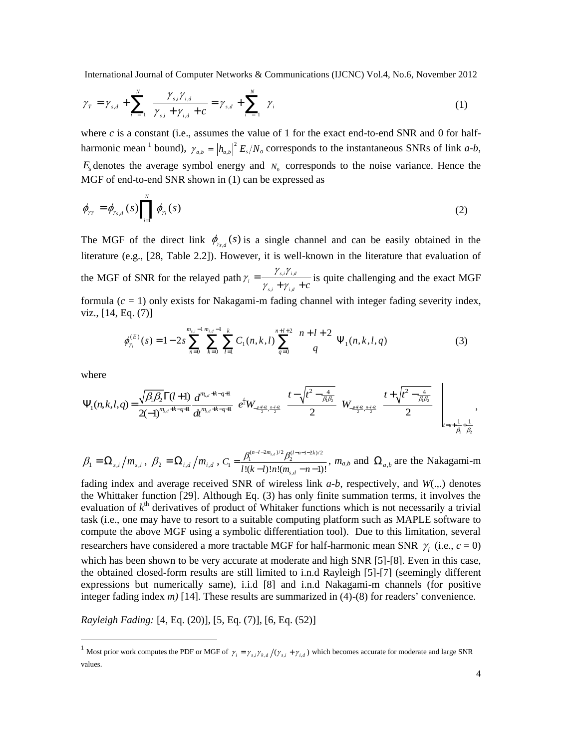$$
\gamma_{T} = \gamma_{s,d} + \sum_{i=1}^{N} \frac{\gamma_{s,i}\gamma_{i,d}}{\gamma_{s,i} + \gamma_{i,d} + c} = \gamma_{s,d} + \sum_{i=1}^{N} \gamma_{i}
$$
 (1)

where  $c$  is a constant (i.e., assumes the value of 1 for the exact end-to-end SNR and 0 for halfharmonic mean <sup>1</sup> bound),  $\gamma_{a,b} = |h_{a,b}|^2 E_s/N_o$  corresponds to the instantaneous SNRs of link *a-b*,  $E<sub>s</sub>$  denotes the average symbol energy and  $N<sub>0</sub>$  corresponds to the noise variance. Hence the MGF of end-to-end SNR shown in (1) can be expressed as

$$
\phi_{rr} = \phi_{\gamma_{s,d}}(s) \prod_{i=1}^{N} \phi_{\gamma_i}(s) \tag{2}
$$

The MGF of the direct link  $\phi_{r_{s,d}}(s)$  is a single channel and can be easily obtained in the literature (e.g., [28, Table 2.2]). However, it is well-known in the literature that evaluation of the MGF of SNR for the relayed path  $\gamma_i = \frac{f_{s,i}f_{i,j}}{f_{i,j}}$  $i \mid I_i$ *s i i d i*  $\gamma_{s,i} + \gamma_{i,d} + c$  $\gamma_{s,i}\gamma$  $\gamma_i = \frac{\gamma_{s,i} \gamma_{id}}{\gamma_{s,i} + \gamma_{id} + c}$  is quite challenging and the exact MGF formula  $(c = 1)$  only exists for Nakagami-m fading channel with integer fading severity index, viz., [14, Eq. (7)]

$$
\phi_{\gamma_i}^{(E)}(s) = 1 - 2s \sum_{n=0}^{m_{s,i}-1} \sum_{k=0}^{m_{t,i}-1} \sum_{l=1}^k C_1(n,k,l) \sum_{q=0}^{n+l+2} {n+l+2 \choose q} \Psi_1(n,k,l,q)
$$
(3)

where

$$
\Psi_{1}(n,k,l,q) = \frac{\sqrt{\beta_{1}\beta_{2}}\Gamma(l+1)}{2(-1)^{m_{s,d}+k-q+1}}\frac{d^{m_{s,d}+k-q+1}}{dt^{m_{s,d}+k-q+1}}\left[e^{\frac{i}{2}W_{\frac{n+l+2}{2},\frac{n-l+2}{2}}}\left(\frac{t-\sqrt{t^{2}-\frac{4}{\beta_{1}\beta_{2}}}}{2}\right)W_{\frac{n+l+2}{2},\frac{n-l+2}{2}}\left(\frac{t+\sqrt{t^{2}-\frac{4}{\beta_{1}\beta_{2}}}}{2}\right)\right]_{t=s+\frac{1}{\beta_{1}}+\frac{1}{\beta_{2}}},
$$

$$
\beta_1 = \Omega_{s,i} / m_{s,i}, \ \beta_2 = \Omega_{i,d} / m_{i,d}, \ C_1 = \frac{\beta_1^{(n-l-2m_{s,d})/2} \beta_2^{(l-n-l-2k)/2}}{l!(k-l)!n!(m_{s,d}-n-1)!}, \ m_{a,b} \text{ and } \Omega_{a,b} \text{ are the Nakagami-m}
$$

fading index and average received SNR of wireless link *a-b*, respectively, and *W*(.,.) denotes the Whittaker function [29]. Although Eq. (3) has only finite summation terms, it involves the evaluation of  $k^{\text{th}}$  derivatives of product of Whitaker functions which is not necessarily a trivial task (i.e., one may have to resort to a suitable computing platform such as MAPLE software to compute the above MGF using a symbolic differentiation tool). Due to this limitation, several researchers have considered a more tractable MGF for half-harmonic mean SNR  $\gamma_i$  (i.e.,  $c = 0$ ) which has been shown to be very accurate at moderate and high SNR [5]-[8]. Even in this case, the obtained closed-form results are still limited to i.n.d Rayleigh [5]-[7] (seemingly different expressions but numerically same), i.i.d [8] and i.n.d Nakagami-m channels (for positive integer fading index *m)* [14]. These results are summarized in (4)-(8) for readers' convenience.

*Rayleigh Fading:* [4, Eq. (20)], [5, Eq. (7)], [6, Eq. (52)]

<sup>&</sup>lt;sup>1</sup> Most prior work computes the PDF or MGF of  $\gamma_i = \gamma_{s,i} \gamma_{k,d} / (\gamma_{s,i} + \gamma_{i,d})$  which becomes accurate for moderate and large SNR values.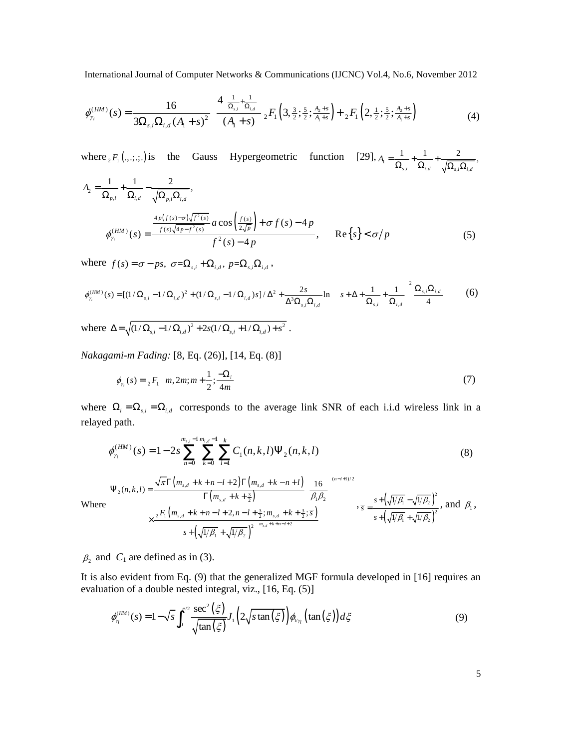$$
\phi_{\gamma_i}^{(HM)}(s) = \frac{16}{3\Omega_{s,i}\Omega_{i,d}(A_1+s)^2} \left[ \frac{4\left(\frac{1}{\Omega_{s,i}} + \frac{1}{\Omega_{i,d}}\right)}{(A_1+s)^2} {}_2F_1\left(3, \frac{3}{2}; \frac{5}{2}; \frac{A_2+s}{A_1+s}\right) + {}_2F_1\left(2, \frac{1}{2}; \frac{5}{2}; \frac{A_2+s}{A_1+s}\right) \right]
$$
(4)

where  ${}_2F_1(.,...,.)$  is the Gauss Hypergeometric function [29],  $A_1 = \frac{1}{\Omega_{s,i}} + \frac{1}{\Omega_{i,d}} + \frac{2}{\sqrt{\Omega_{s,i}\Omega_{i,d}}}$  $\frac{1}{2} + \frac{1}{2} + \frac{2}{2}$  $s, i \quad$ <sup>22</sup>*i,d*  $\sqrt{2^2 s, i^2^2 i}$  $A_{\rm I} = \frac{1}{\Omega_{s,i}} + \frac{1}{\Omega_{i,d}} + \frac{2}{\sqrt{\Omega_{s,i}\Omega_{i}}}$  $1 \quad 1 \quad 2$ 

$$
A_{2} = \frac{1}{\Omega_{p,i}} + \frac{1}{\Omega_{i,d}} - \frac{2}{\sqrt{\Omega_{p,i}\Omega_{i,d}}},
$$
  

$$
\phi_{\gamma_{i}}^{(HM)}(s) = \frac{\frac{4p(f(s) - \sigma)\sqrt{f^{2}(s)}}{f(s)\sqrt{4p - f^{2}(s)}}a\cos\left(\frac{f(s)}{2\sqrt{p}}\right) + \sigma f(s) - 4p}{f^{2}(s) - 4p}, \quad \text{Re}\{s\} < \sigma/p
$$
(5)

where  $f(s) = \sigma - ps$ ,  $\sigma = \Omega_{s,i} + \Omega_{i,d}$ ,  $p = \Omega_{s,i} \Omega_{i,d}$ ,

$$
\phi_{\gamma_i}^{(HM)}(s) = [(1/\Omega_{s,i} - 1/\Omega_{i,d})^2 + (1/\Omega_{s,i} - 1/\Omega_{i,d})s]/\Delta^2 + \frac{2s}{\Delta^3 \Omega_{s,i} \Omega_{i,d}} \ln \left( \left( s + \Delta + \frac{1}{\Omega_{s,i}} + \frac{1}{\Omega_{i,d}} \right)^2 \frac{\Omega_{s,i} \Omega_{i,d}}{4} \right)
$$
(6)

where  $\Delta = \sqrt{(1/\Omega_{s,i} - 1/\Omega_{i,d})^2 + 2s(1/\Omega_{s,i} + 1/\Omega_{i,d}) + s^2}$ .

*Nakagami-m Fading:* [8, Eq. (26)], [14, Eq. (8)]

$$
\phi_{\gamma_i}(s) = {}_{2}F_1\left(m, 2m; m + \frac{1}{2}; \frac{-\Omega_i}{4m}\right)
$$
\n(7)

where  $\Omega_i = \Omega_{s,i} = \Omega_{i,d}$  corresponds to the average link SNR of each i.i.d wireless link in a relayed path.

$$
\phi_{\gamma_i}^{(HM)}(s) = 1 - 2s \sum_{n=0}^{m_{s,i}-1} \sum_{k=0}^{m_{i,d}-1} \sum_{l=1}^k C_1(n,k,l) \Psi_2(n,k,l)
$$
\n(8)

$$
\Psi_{2}(n,k,l) = \frac{\sqrt{\pi}\Gamma\left(m_{s,d} + k + n - l + 2\right)\Gamma\left(m_{s,d} + k - n + l\right)}{\Gamma\left(m_{s,d} + k + \frac{3}{2}\right)} \left(\frac{16}{\beta_{1}\beta_{2}}\right)^{(n-l+1)/2},
$$
\n
$$
\times \frac{{}_{2}F_{1}\left(m_{s,d} + k + n - l + 2, n - l + \frac{3}{2}; m_{s,d} + k + \frac{3}{2}; \overline{s}\right)}\left(s + \left(\sqrt{1/\beta_{1}} + \sqrt{1/\beta_{2}}\right)^{2}\right)^{m_{s,d} + k + n - l + 2},
$$
\n
$$
\left(s + \left(\sqrt{1/\beta_{1}} + \sqrt{1/\beta_{2}}\right)^{2}\right)^{m_{s,d} + k + n - l + 2},
$$
\n
$$
\pi = \frac{s + \left(\sqrt{1/\beta_{1}} - \sqrt{1/\beta_{2}}\right)^{2}}{s + \left(\sqrt{1/\beta_{1}} + \sqrt{1/\beta_{2}}\right)^{2}},
$$
\nand  $\beta_{1}$ ,

Where

 $\beta_2$  and  $C_1$  are defined as in (3).

It is also evident from Eq. (9) that the generalized MGF formula developed in [16] requires an evaluation of a double nested integral, viz., [16, Eq. (5)]

$$
\phi_{\gamma_i}^{(HM)}(s) = 1 - \sqrt{s} \int_0^{\pi/2} \frac{\sec^2\left(\xi\right)}{\sqrt{\tan\left(\xi\right)}} J_1\left(2\sqrt{s}\tan\left(\xi\right)\right) \phi_{\gamma_i}\left(\tan\left(\xi\right)\right) d\xi \tag{9}
$$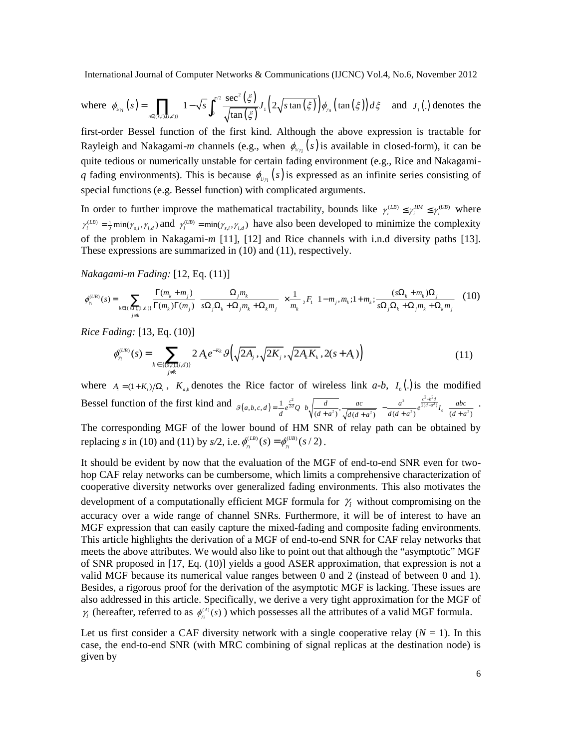where 
$$
\phi_{\nu_{\gamma_i}}(s) = \prod_{n \in \{(s,i),(i,d)\}} \left[1 - \sqrt{s} \int_0^{\pi/2} \frac{\sec^2(\xi)}{\sqrt{\tan(\xi)}} J_i\left(2\sqrt{\sin(\xi)}\right) \phi_{\gamma_n}\left(\tan(\xi)\right) d\xi\right]
$$
 and  $J_i(.)$  denotes the

first-order Bessel function of the first kind. Although the above expression is tractable for Rayleigh and Nakagami-*m* channels (e.g., when  $\phi_{\nu_{\gamma_i}}(s)$  is available in closed-form), it can be quite tedious or numerically unstable for certain fading environment (e.g., Rice and Nakagami*q* fading environments). This is because  $\phi_{\nu_{\gamma_i}}(s)$  is expressed as an infinite series consisting of special functions (e.g. Bessel function) with complicated arguments.

In order to further improve the mathematical tractability, bounds like  $\gamma_i^{(IB)} \leq \gamma_i^{H M} \leq \gamma_i^{(UB)}$  where  $\gamma_i^{(LB)} = \frac{1}{2} \min(\gamma_{s,i}, \gamma_{i,d})$  and  $\gamma_i^{(UB)} = \min(\gamma_{s,i}, \gamma_{i,d})$  have also been developed to minimize the complexity of the problem in Nakagami-*m* [11], [12] and Rice channels with i.n.d diversity paths [13]. These expressions are summarized in (10) and (11), respectively.

*Nakagami-m Fading:* [12, Eq. (11)]

$$
\phi_{\gamma_i}^{(UB)}(s) = \sum_{k \in \{(\text{s.i.),(\text{i.d.})\}}}\frac{\Gamma(m_k + m_j)}{\Gamma(m_k)\Gamma(m_j)} \left(\frac{\Omega_j m_k}{s\Omega_j \Omega_k + \Omega_j m_k + \Omega_k m_j}\right) \times \frac{1}{m_k} {}_2F_1\left(1 - m_j, m_k; 1 + m_k; \frac{(s\Omega_k + m_k)\Omega_j}{s\Omega_j \Omega_k + \Omega_j m_k + \Omega_k m_j}\right) (10)
$$

*Rice Fading:* [13, Eq. (10)]

$$
\phi_{\gamma_i}^{(UB)}(s) = \sum_{k \in \{(s,i),(i,d)\}} 2 A_k e^{-K_k} \mathcal{G}\left(\sqrt{2A_j}, \sqrt{2K_j}, \sqrt{2A_k K_k}, 2(s+A_k)\right) \tag{11}
$$

where  $A_i = (1 + K_i)/\Omega_i$ ,  $K_{a,b}$  denotes the Rice factor of wireless link *a-b*,  $I_0(.)$  is the modified Bessel function of the first kind and  $g(a,b,c,d) = \frac{1}{2} e^{\frac{c^2}{2d}} Q\left[ b \sqrt{\frac{d}{(a+b)^2}}, \frac{ac}{\sqrt{a^2-1}} \right] - \frac{a^2}{2d}$  $\left[ \frac{2}{d} \right]^{2}$   $\left[ \frac{d}{d} \left( d + a^{2} \right) \right]^{2}$   $\left[ \frac{d}{d} \left( d + a^{2} \right) \right]^{2}$  $L_{\alpha}(b,c,d) = \frac{1}{d} e^{\frac{c^2}{2d}} Q\left(b\sqrt{\frac{d}{(d+a^2)}}, \frac{ac}{\sqrt{d(d+a^2)}}\right) - \frac{a^2}{d(d+a^2)} e^{\frac{c^2-b^2d}{2(d+a^2)}} I_0\left(\frac{abc}{(d+a^2)}\right)$  $B(a,b,c,d) = \frac{1}{d} e^{\frac{c^2}{2d}} Q\left(b\sqrt{\frac{d}{(d+a^2)}}, \frac{ac}{\sqrt{d(d+a^2)}}\right) - \frac{a^2}{d(d+a^2)} e^{\frac{c^2-b^2d}{2(d+a^2)}} I_0\left(\frac{abc}{(d+a^2)}\right)$  $=\frac{1}{d}e^{\frac{c^2}{2d}}Q\left(b\sqrt{\frac{d}{(d+a^2)}}, \frac{ac}{\sqrt{d(d+a^2)}}\right)-\frac{a^2}{d(d+a^2)}e^{\frac{c^2-b^2d}{2(d+a^2)}}I_0\left(\frac{abc}{(d+a^2)}\right)$ . The corresponding MGF of the lower bound of HM SNR of relay path can be obtained by

replacing *s* in (10) and (11) by *s*/2, i.e.  $\phi_{n}^{(IB)}(s) = \phi_{n}^{(UB)}(s/2)$ .

It should be evident by now that the evaluation of the MGF of end-to-end SNR even for twohop CAF relay networks can be cumbersome, which limits a comprehensive characterization of cooperative diversity networks over generalized fading environments. This also motivates the development of a computationally efficient MGF formula for  $\gamma$  without compromising on the accuracy over a wide range of channel SNRs. Furthermore, it will be of interest to have an MGF expression that can easily capture the mixed-fading and composite fading environments. This article highlights the derivation of a MGF of end-to-end SNR for CAF relay networks that meets the above attributes. We would also like to point out that although the "asymptotic" MGF of SNR proposed in [17, Eq. (10)] yields a good ASER approximation, that expression is not a valid MGF because its numerical value ranges between 0 and 2 (instead of between 0 and 1). Besides, a rigorous proof for the derivation of the asymptotic MGF is lacking. These issues are also addressed in this article. Specifically, we derive a very tight approximation for the MGF of  $\gamma_i$  (hereafter, referred to as  $\phi_{\gamma_i}^{(A)}(s)$ ) which possesses all the attributes of a valid MGF formula.

Let us first consider a CAF diversity network with a single cooperative relay  $(N = 1)$ . In this case, the end-to-end SNR (with MRC combining of signal replicas at the destination node) is given by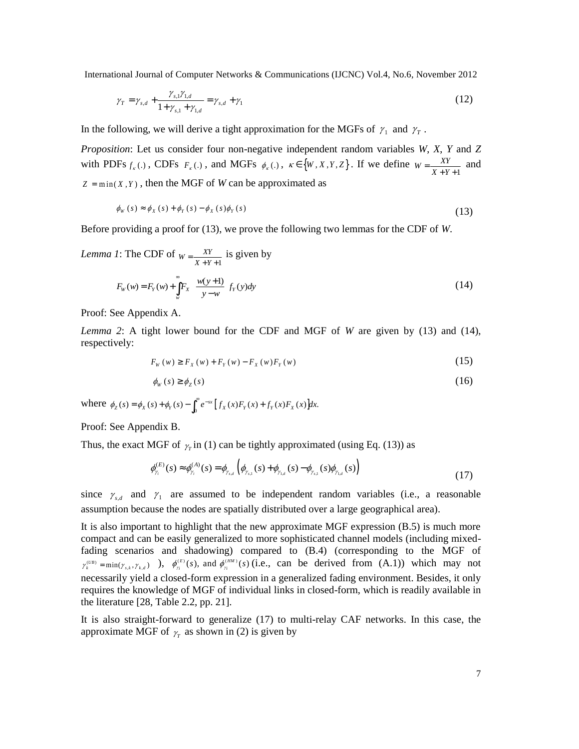$$
\gamma_T = \gamma_{s,d} + \frac{\gamma_{s,1}\gamma_{1,d}}{1 + \gamma_{s,1} + \gamma_{1,d}} = \gamma_{s,d} + \gamma_1
$$
\n(12)

In the following, we will derive a tight approximation for the MGFs of  $\gamma_1$  and  $\gamma_T$ .

*Proposition*: Let us consider four non-negative independent random variables *W*, *X*, *Y* and *Z* with PDFs  $f_k(.)$ , CDFs  $F_k(.)$ , and MGFs  $\phi_k(.)$ ,  $\kappa \in \{W, X, Y, Z\}$ . If we define  $W = \frac{XY}{X+Y+1}$  and  $Z = min(X, Y)$ , then the MGF of *W* can be approximated as

$$
\phi_W(s) \approx \phi_X(s) + \phi_Y(s) - \phi_X(s)\phi_Y(s)
$$
\n(13)

Before providing a proof for (13), we prove the following two lemmas for the CDF of *W*.

*Lemma 1*: The CDF of  $W = \frac{XY}{X+Y+1}$  is given by

$$
F_w(w) = F_Y(w) + \int_w^{\infty} F_X\left(\frac{w(y+1)}{y-w}\right) f_Y(y) dy
$$
\n(14)

Proof: See Appendix A.

*Lemma 2*: A tight lower bound for the CDF and MGF of *W* are given by (13) and (14), respectively:

$$
F_{w}(w) \geq F_{x}(w) + F_{y}(w) - F_{x}(w)F_{y}(w)
$$
\n(15)

$$
\phi_{w}(s) \ge \phi_{Z}(s) \tag{16}
$$

where  $\phi_z(s) = \phi_x(s) + \phi_y(s) - \int_0^\infty e^{-sx} [f_x(x) F_y(x) + f_y(x) F_x(x)]dx$ .

Proof: See Appendix B.

Thus, the exact MGF of  $\gamma$ <sub>r</sub> in (1) can be tightly approximated (using Eq. (13)) as

$$
\phi_{\gamma_i}^{(E)}(s) \approx \phi_{\gamma_i}^{(A)}(s) = \phi_{\gamma_{s,d}} \left( \phi_{\gamma_{s,l}}(s) + \phi_{\gamma_{s,d}}(s) - \phi_{\gamma_{s,l}}(s) \phi_{\gamma_{s,d}}(s) \right)
$$
(17)

since  $\gamma_{s,d}$  and  $\gamma_1$  are assumed to be independent random variables (i.e., a reasonable assumption because the nodes are spatially distributed over a large geographical area).

It is also important to highlight that the new approximate MGF expression (B.5) is much more compact and can be easily generalized to more sophisticated channel models (including mixedfading scenarios and shadowing) compared to (B.4) (corresponding to the MGF of  $\gamma_k^{(UB)} = \min(\gamma_{s,k}, \gamma_{k,d})$ ),  $\phi_{\gamma_i}^{(E)}(s)$ , and  $\phi_{\gamma_i}^{(HM)}(s)$  (i.e., can be derived from (A.1)) which may not necessarily yield a closed-form expression in a generalized fading environment. Besides, it only requires the knowledge of MGF of individual links in closed-form, which is readily available in the literature [28, Table 2.2, pp. 21].

It is also straight-forward to generalize (17) to multi-relay CAF networks. In this case, the approximate MGF of  $\gamma$ <sub>r</sub> as shown in (2) is given by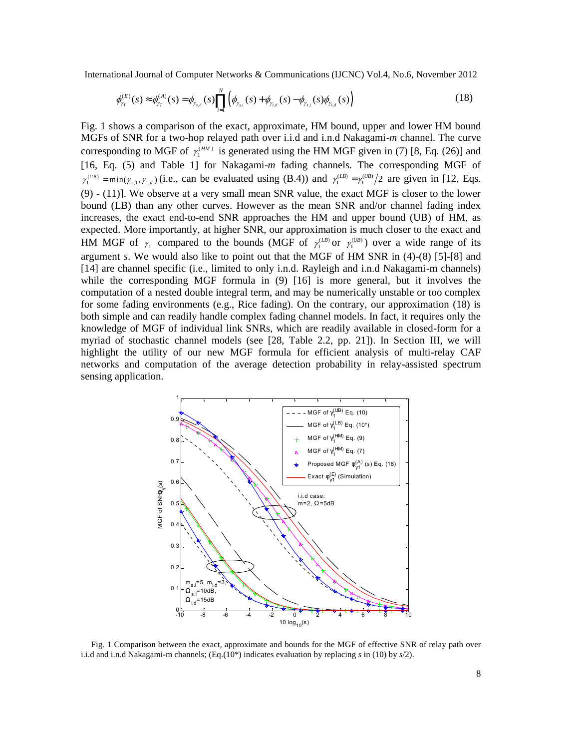$$
\phi_{\gamma_T}^{(E)}(s) \approx \phi_{\gamma_T}^{(A)}(s) = \phi_{\gamma_{s,d}}(s) \prod_{i=1}^N \left( \phi_{\gamma_{s,i}}(s) + \phi_{\gamma_{i,d}}(s) - \phi_{\gamma_{s,i}}(s) \phi_{\gamma_{i,d}}(s) \right)
$$
(18)

Fig. 1 shows a comparison of the exact, approximate, HM bound, upper and lower HM bound MGFs of SNR for a two-hop relayed path over i.i.d and i.n.d Nakagami-*m* channel. The curve corresponding to MGF of  $\gamma_1^{\text{(HM)}}$  is generated using the HM MGF given in (7) [8, Eq. (26)] and [16, Eq. (5) and Table 1] for Nakagami-*m* fading channels. The corresponding MGF of  $\gamma_1^{(UB)} = \min(\gamma_{s,1}, \gamma_{1,d})$  (i.e., can be evaluated using (B.4)) and  $\gamma_1^{(IB)} = \gamma_1^{(UB)}/2$  are given in [12, Eqs. (9) - (11)]. We observe at a very small mean SNR value, the exact MGF is closer to the lower bound (LB) than any other curves. However as the mean SNR and/or channel fading index increases, the exact end-to-end SNR approaches the HM and upper bound (UB) of HM, as expected. More importantly, at higher SNR, our approximation is much closer to the exact and HM MGF of  $\gamma_1$  compared to the bounds (MGF of  $\gamma_1^{(LB)}$  or  $\gamma_1^{(UB)}$ ) over a wide range of its argument *s*. We would also like to point out that the MGF of HM SNR in (4)-(8) [5]-[8] and [14] are channel specific (i.e., limited to only i.n.d. Rayleigh and i.n.d Nakagami-m channels) while the corresponding MGF formula in  $(9)$  [16] is more general, but it involves the computation of a nested double integral term, and may be numerically unstable or too complex for some fading environments (e.g., Rice fading). On the contrary, our approximation (18) is both simple and can readily handle complex fading channel models. In fact, it requires only the knowledge of MGF of individual link SNRs, which are readily available in closed-form for a myriad of stochastic channel models (see [28, Table 2.2, pp. 21]). In Section III, we will highlight the utility of our new MGF formula for efficient analysis of multi-relay CAF networks and computation of the average detection probability in relay-assisted spectrum sensing application.



Fig. 1 Comparison between the exact, approximate and bounds for the MGF of effective SNR of relay path over i.i.d and i.n.d Nakagami-m channels; (Eq.(10\*) indicates evaluation by replacing *s* in (10) by *s*/2).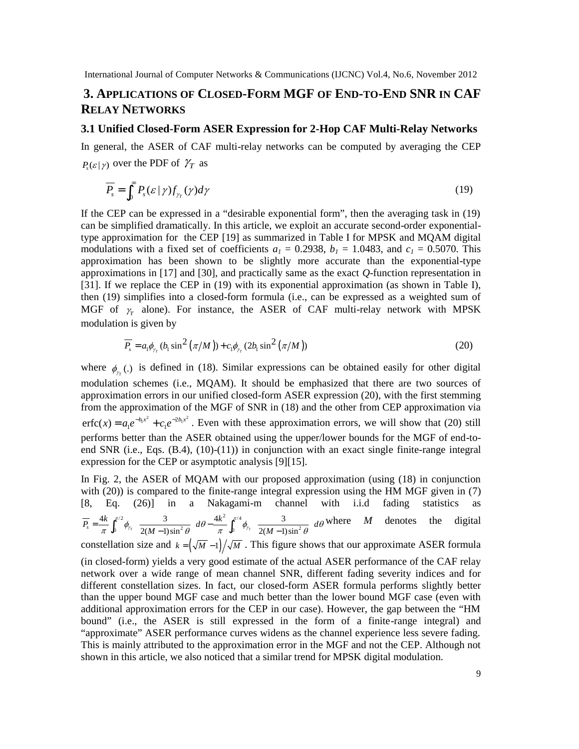# **3. APPLICATIONS OF CLOSED-FORM MGF OF END-TO-END SNR IN CAF RELAY NETWORKS**

### **3.1 Unified Closed-Form ASER Expression for 2-Hop CAF Multi-Relay Networks**

In general, the ASER of CAF multi-relay networks can be computed by averaging the CEP  $P_{s}(\varepsilon|\gamma)$  over the PDF of  $\gamma_{T}$  as

$$
\overline{P_s} = \int_0^\infty P_s(\mathcal{E} | \gamma) f_{\gamma_T}(\gamma) d\gamma \tag{19}
$$

If the CEP can be expressed in a "desirable exponential form", then the averaging task in (19) can be simplified dramatically. In this article, we exploit an accurate second-order exponentialtype approximation for the CEP [19] as summarized in Table I for MPSK and MQAM digital modulations with a fixed set of coefficients  $a_1 = 0.2938$ ,  $b_1 = 1.0483$ , and  $c_1 = 0.5070$ . This approximation has been shown to be slightly more accurate than the exponential-type approximations in [17] and [30], and practically same as the exact *Q*-function representation in [31]. If we replace the CEP in (19) with its exponential approximation (as shown in Table I), then (19) simplifies into a closed-form formula (i.e., can be expressed as a weighted sum of MGF of  $\gamma$  alone). For instance, the ASER of CAF multi-relay network with MPSK modulation is given by

$$
\overline{P_s} = a_1 \phi_{\gamma_{\tau}} (b_1 \sin^2 (\pi/M)) + c_1 \phi_{\gamma_{\tau}} (2b_1 \sin^2 (\pi/M))
$$
\n(20)

where  $\phi_{\gamma_{\tau}}(.)$  is defined in (18). Similar expressions can be obtained easily for other digital modulation schemes (i.e., MQAM). It should be emphasized that there are two sources of approximation errors in our unified closed-form ASER expression (20), with the first stemming from the approximation of the MGF of SNR in (18) and the other from CEP approximation via  $erfc(x) = a_1 e^{-b_1 x^2} + c_1 e^{-2b_1 x^2}$ . Even with these approximation errors, we will show that (20) still performs better than the ASER obtained using the upper/lower bounds for the MGF of end-toend SNR (i.e., Eqs. (B.4), (10)-(11)) in conjunction with an exact single finite-range integral expression for the CEP or asymptotic analysis [9][15].

In Fig. 2, the ASER of MQAM with our proposed approximation (using (18) in conjunction with (20)) is compared to the finite-range integral expression using the HM MGF given in (7) [8, Eq. (26)] in a Nakagami-m channel with i.i.d fading statistics as  $\frac{1}{2}$  ( 3 )  $4k^2 e^{\pi/4}$  $2(M-1)\sin^2\theta$   $\int_0^{\infty}$   $\pi$   $\int_0^{\infty}$   $\frac{\gamma}{4}$   $2(M-1)\sin^2\theta$  $4k \int_{1}^{\pi/2} \int_{1}^{1} 3 \int_{10}^{1} 4k^2 \int_{1}^{\pi/4} \int_{1}^{1} 3$  $\overline{P_s} = \frac{4k}{\pi} \int_0^{\pi/2} \phi_{\gamma_T} \left( \frac{3}{2(M-1)\sin^2 \theta} \right) d\theta - \frac{4k^2}{\pi} \int_0^{\pi/4} \phi_{\gamma_T} \left( \frac{3}{2(M-1)\sin^2 \theta} \right) d\theta$  $=\frac{4k}{\pi}\int_0^{\pi/2}\phi_{\gamma_T}\left(\frac{3}{2(M-1)\sin^2\theta}\right)d\theta-\frac{4k^2}{\pi}\int_0^{\pi/4}\phi_{\gamma_T}\left(\frac{3}{2(M-1)\sin^2\theta}\right)d\theta$  where *M* denotes the digital constellation size and  $k = (\sqrt{M} - 1)/\sqrt{M}$ . This figure shows that our approximate ASER formula

(in closed-form) yields a very good estimate of the actual ASER performance of the CAF relay network over a wide range of mean channel SNR, different fading severity indices and for different constellation sizes. In fact, our closed-form ASER formula performs slightly better than the upper bound MGF case and much better than the lower bound MGF case (even with additional approximation errors for the CEP in our case). However, the gap between the "HM bound" (i.e., the ASER is still expressed in the form of a finite-range integral) and "approximate" ASER performance curves widens as the channel experience less severe fading. This is mainly attributed to the approximation error in the MGF and not the CEP. Although not shown in this article, we also noticed that a similar trend for MPSK digital modulation.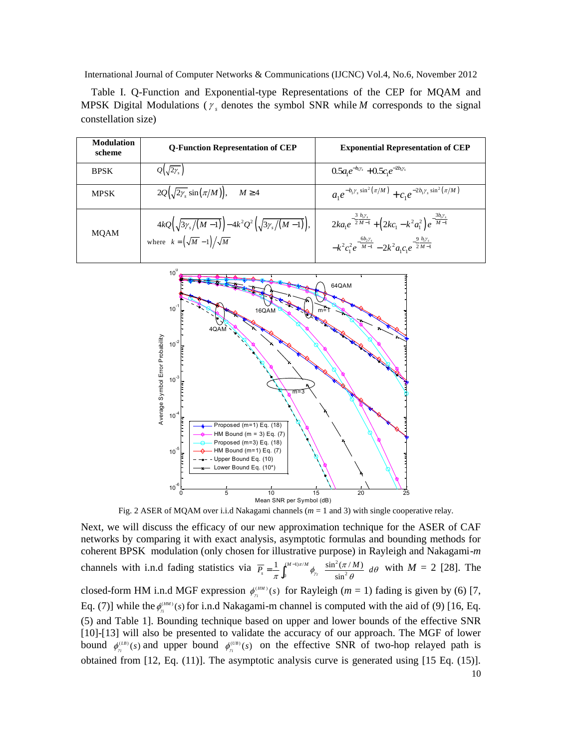Table I. Q-Function and Exponential-type Representations of the CEP for MQAM and MPSK Digital Modulations ( $\gamma_s$  denotes the symbol SNR while *M* corresponds to the signal constellation size)

| <b>Modulation</b><br>scheme | <b>Q-Function Representation of CEP</b>                                                                            | <b>Exponential Representation of CEP</b>                                                                                                                                      |
|-----------------------------|--------------------------------------------------------------------------------------------------------------------|-------------------------------------------------------------------------------------------------------------------------------------------------------------------------------|
| <b>BPSK</b>                 | $Q(\sqrt{2}\gamma_s)$                                                                                              | $0.5a_1e^{-b_1\gamma_s}+0.5c_1e^{-2b_1\gamma_s}$                                                                                                                              |
| <b>MPSK</b>                 | $2Q(\sqrt{2\gamma_s}\sin(\pi/M)), \quad M \geq 4$                                                                  | $a_1 e^{-b_1 \gamma_s \sin^2(\pi/M)} + c_2 e^{-2b_1 \gamma_s \sin^2(\pi/M)}$                                                                                                  |
| <b>MQAM</b>                 | $4kQ(\sqrt{3\gamma_s/(M-1)})-4k^2Q^2(\sqrt{3\gamma_s/(M-1)}),$<br>where $k = \left(\sqrt{M} - 1\right) / \sqrt{M}$ | $2ka_1e^{-\frac{3}{2} \frac{b_1y_s}{M-1}} + (2kc_1 - k^2 a_1^2)e^{-\frac{3b_1y_s}{M-1}}$<br>$-k^2c_1^2e^{-\frac{6b_2\gamma_s}{M-1}}-2k^2a_1c_1e^{-\frac{9b_1\gamma_s}{2M-1}}$ |



Fig. 2 ASER of MQAM over i.i.d Nakagami channels (*m* = 1 and 3) with single cooperative relay.

10 Next, we will discuss the efficacy of our new approximation technique for the ASER of CAF networks by comparing it with exact analysis, asymptotic formulas and bounding methods for coherent BPSK modulation (only chosen for illustrative purpose) in Rayleigh and Nakagami-*m* channels with i.n.d fading statistics via  $\overline{P} = \frac{1}{2} \int_{0}^{(M-1)\pi/M} \phi(x) \frac{\sin^2(x)}{x^2}$ 0  $\frac{\varphi_{\gamma_{T}}}{\sin^{2}(\gamma_{T}+\gamma_{T})}$  $1 \int_{1}^{(M-1)\pi/M}$   $\int \sin^2(\pi/M)$  $\int$ <sup>r</sup>  $\int$  sin  $(M-1)\pi/M$  $\overline{P_s} = \frac{1}{\pi} \int_0^{(M-1)\pi/M} \phi_{\gamma} \left( \frac{\sin^2(\pi/M)}{\sin^2(0)} \right) dt$  $\frac{1}{\pi}\int_0^{(M-1)\pi/M}\phi_{\gamma_T}\left(\frac{\sin^2(\pi/M)}{\sin^2\theta}\right)d\theta$  $=\frac{1}{\pi}\int_0^{(M-1)\pi/M}\phi_{\gamma} \left(\frac{\sin^2(\pi/M)}{\sin^2\theta}\right)d\theta$  with  $M=2$  [28]. The closed-form HM i.n.d MGF expression  $\phi_{n}^{(HM)}(s)$  for Rayleigh ( $m = 1$ ) fading is given by (6) [7, Eq. (7)] while the  $\phi_n^{\text{\tiny (HM)}}(s)$  for i.n.d Nakagami-m channel is computed with the aid of (9) [16, Eq. (5) and Table 1]. Bounding technique based on upper and lower bounds of the effective SNR [10]-[13] will also be presented to validate the accuracy of our approach. The MGF of lower bound  $\phi_n^{(IB)}(s)$  and upper bound  $\phi_n^{(UB)}(s)$  on the effective SNR of two-hop relayed path is obtained from [12, Eq. (11)]. The asymptotic analysis curve is generated using [15 Eq. (15)].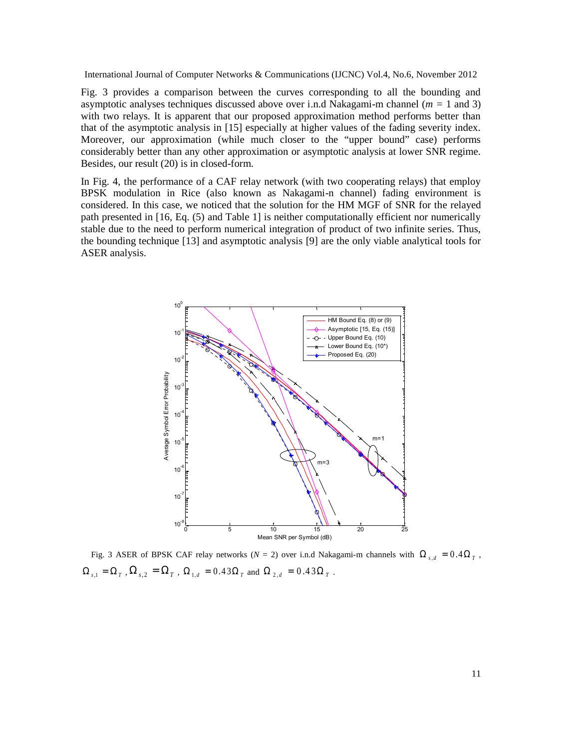Fig. 3 provides a comparison between the curves corresponding to all the bounding and asymptotic analyses techniques discussed above over i.n.d Nakagami-m channel (*m =* 1 and 3) with two relays. It is apparent that our proposed approximation method performs better than that of the asymptotic analysis in [15] especially at higher values of the fading severity index. Moreover, our approximation (while much closer to the "upper bound" case) performs considerably better than any other approximation or asymptotic analysis at lower SNR regime. Besides, our result (20) is in closed-form.

In Fig. 4, the performance of a CAF relay network (with two cooperating relays) that employ BPSK modulation in Rice (also known as Nakagami-n channel) fading environment is considered. In this case, we noticed that the solution for the HM MGF of SNR for the relayed path presented in [16, Eq. (5) and Table 1] is neither computationally efficient nor numerically stable due to the need to perform numerical integration of product of two infinite series. Thus, the bounding technique [13] and asymptotic analysis [9] are the only viable analytical tools for ASER analysis.



Fig. 3 ASER of BPSK CAF relay networks ( $N = 2$ ) over i.n.d Nakagami-m channels with  $\Omega_{s,d} = 0.4 \Omega_T$ ,  $\Omega_{s,1} = \Omega_T$  ,  $\Omega_{s,2} = \Omega_T$  ,  $\Omega_{1,d} = 0.43 \Omega_T$  and  $\Omega_{2,d} = 0.43 \Omega_T$  .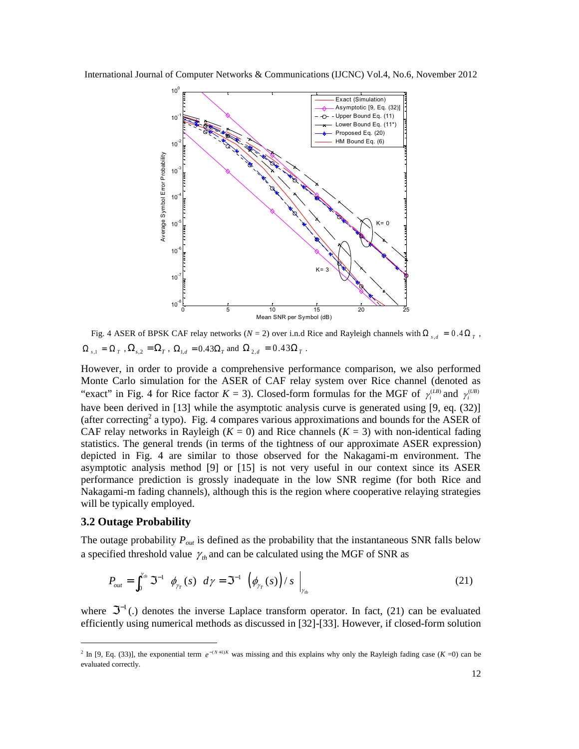

Fig. 4 ASER of BPSK CAF relay networks ( $N = 2$ ) over i.n.d Rice and Rayleigh channels with  $\Omega_{s,d} = 0.4 \Omega_T$ ,  $\Omega_{s,1} = \Omega_{T}$  ,  $\Omega_{s,2} = \Omega_{T}$  ,  $\Omega_{1,d} = 0.43 \Omega_{T}$  and  $\Omega_{2,d} = 0.43 \Omega_{T}$  .

However, in order to provide a comprehensive performance comparison, we also performed Monte Carlo simulation for the ASER of CAF relay system over Rice channel (denoted as "exact" in Fig. 4 for Rice factor  $K = 3$ ). Closed-form formulas for the MGF of  $\gamma_i^{(IB)}$  and  $\gamma_i^{(UB)}$ have been derived in [13] while the asymptotic analysis curve is generated using [9, eq. (32)] (after correcting<sup>2</sup> a typo). Fig. 4 compares various approximations and bounds for the ASER of CAF relay networks in Rayleigh ( $K = 0$ ) and Rice channels ( $K = 3$ ) with non-identical fading statistics. The general trends (in terms of the tightness of our approximate ASER expression) depicted in Fig. 4 are similar to those observed for the Nakagami-m environment. The asymptotic analysis method [9] or [15] is not very useful in our context since its ASER performance prediction is grossly inadequate in the low SNR regime (for both Rice and Nakagami-m fading channels), although this is the region where cooperative relaying strategies will be typically employed.

#### **3.2 Outage Probability**

The outage probability *Pout* is defined as the probability that the instantaneous SNR falls below a specified threshold value  $\gamma$ <sub>th</sub> and can be calculated using the MGF of SNR as

$$
P_{out} = \int_0^{\gamma_{th}} \mathfrak{S}^{-1} \left[ \phi_{\gamma_T}(s) \right] d\gamma = \mathfrak{S}^{-1} \left[ \left( \phi_{\gamma_T}(s) \right) / s \right] \Big|_{\gamma_{th}} \tag{21}
$$

where  $\mathfrak{S}^{-1}(.)$  denotes the inverse Laplace transform operator. In fact, (21) can be evaluated efficiently using numerical methods as discussed in [32]-[33]. However, if closed-form solution

<sup>&</sup>lt;sup>2</sup> In [9, Eq. (33)], the exponential term  $e^{-(N+1)K}$  was missing and this explains why only the Rayleigh fading case (*K* =0) can be evaluated correctly.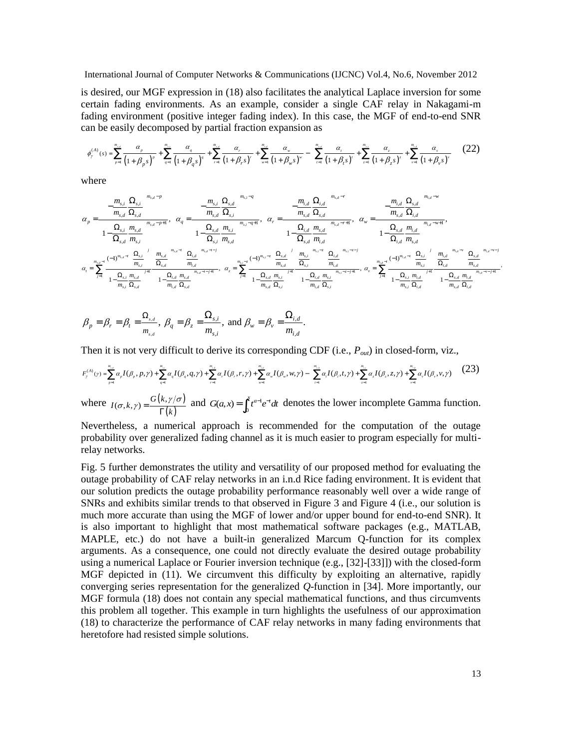is desired, our MGF expression in (18) also facilitates the analytical Laplace inversion for some certain fading environments. As an example, consider a single CAF relay in Nakagami-m fading environment (positive integer fading index). In this case, the MGF of end-to-end SNR can be easily decomposed by partial fraction expansion as

$$
\phi_{\gamma}^{(A)}(s) = \sum_{p=1}^{m_{\gamma}} \frac{\alpha_p}{\left(1+\beta_p s\right)^p} + \sum_{q=1}^{m_{\gamma}} \frac{\alpha_q}{\left(1+\beta_q s\right)^q} + \sum_{r=1}^{m_{\gamma}} \frac{\alpha_r}{\left(1+\beta_r s\right)^r} + \sum_{w=1}^{m_{\gamma}} \frac{\alpha_w}{\left(1+\beta_w s\right)^w} - \left(\sum_{r=1}^{m_{\gamma}} \frac{\alpha_r}{\left(1+\beta_r s\right)^r} + \sum_{z=1}^{m_{\gamma}} \frac{\alpha_z}{\left(1+\beta_z s\right)^z} + \sum_{v=1}^{m_{\gamma}} \frac{\alpha_v}{\left(1+\beta_v s\right)^v}\right) (22)
$$

where

$$
\begin{split} \alpha_p = & \frac{\left(-\frac{m_{s,i}}{m_{s,d}}\frac{\Omega_{s,i}}{\Omega_{s,d}}\right)^{m_{s,d}-p}}{\left(1-\frac{\Omega_{s,i}}{\Omega_{s,d}}\frac{m_{s,d}}{m_{s,i}}\right)^{m_{s,d}-p+1}}, \quad \alpha_q = & \frac{\left(-\frac{m_{s,i}}{m_{s,d}}\frac{\Omega_{s,d}}{\Omega_{s,i}}\right)^{m_{s,j}-q}}{\left(1-\frac{\Omega_{s,d}}{\Omega_{s,d}}\frac{m_{s,i}}{m_{s,i}}\right)^{m_{s,j}-q+1}}, \quad \alpha_r = & \frac{\left(-\frac{m_{i,d}}{m_{s,d}}\frac{\Omega_{s,d}}{\Omega_{s,d}}\right)^{m_{s,d}-r}}{\left(1-\frac{\Omega_{s,d}}{\Omega_{s,d}}\frac{m_{s,d}}{m_{s,d}}\right)^{m_{s,j}-q+1}}, \quad \alpha_w = & \frac{\left(-\frac{m_{i,d}}{m_{s,d}}\frac{\Omega_{s,d}}{\Omega_{s,d}}\right)^{m_{s,d}-r}}{\left(1-\frac{\Omega_{s,d}}{\Omega_{s,d}}\frac{m_{s,d}}{m_{s,d}}\right)^{m_{s,j}-q+1}},\\ \alpha_r = & \sum_{j=1}^{m_{s,d}-\epsilon}\frac{\left(-1\right)^{m_{s,d}-\epsilon}\left(\frac{\Omega_{s,j}}{m_{s,j}}\right)^j \left(\frac{m_{s,d}}{m_{s,d}}\right)^{m_{s,j}-r}}{\left(1-\frac{\Omega_{s,d}}{m_{s,d}}\frac{m_{s,j}}{\Omega_{s,j}}\right)^{m_{s,j}-r}} \left(\frac{\Omega_{s,d}}{m_{s,d}}\right)^{m_{s,j}-r}} \quad \alpha_c = & \sum_{j=1}^{m_{s,d}-\epsilon}\frac{\left(\frac{\Omega_{s,d}}{m_{s,d}}\right)^{m_{s,j}-r}}{\left(1-\frac{\Omega_{s,d}}{m_{s,d}}\frac{m_{s,j}}{\Omega_{s,j}}\right)^{m_{s,j}-r}} \left(\frac{\Omega_{s,d}}{m_{s,d}}\right)^{m_{s,j}-r}} \left(\frac{\Omega_{s,d}}{m_{s,d}}\right)^{m_{s,j}-r}} \quad \alpha_r = & \sum_{j=1}^{m_{s,d}-\epsilon}\frac{\left(\frac{\Omega_{s,d}}{m_{s,d}}\frac{\Omega_{s,j}}{\Omega_{s,d}}\right)^{m_{s,j}-r}}{\left(1-\
$$

$$
\beta_p = \beta_r = \beta_t = \frac{\Omega_{s,d}}{m_{s,d}}, \ \beta_q = \beta_z = \frac{\Omega_{s,i}}{m_{s,i}}, \text{ and } \beta_w = \beta_v = \frac{\Omega_{i,d}}{m_{i,d}}.
$$

Then it is not very difficult to derive its corresponding CDF (i.e., *Pout*) in closed-form, viz.,

$$
F_{\gamma}^{(A)}(\gamma) = \sum_{p=1}^{m_{\gamma,\epsilon}} \alpha_p I(\beta_p, p, \gamma) + \sum_{q=1}^{m_{\gamma,\epsilon}} \alpha_q I(\beta_q, q, \gamma) + \sum_{r=1}^{m_{\gamma,\epsilon}} \alpha_r I(\beta_r, r, \gamma) + \sum_{w=1}^{m_{\gamma,\epsilon}} \alpha_w I(\beta_w, w, \gamma) - \left(\sum_{t=1}^{m_{\gamma,\epsilon}} \alpha_t I(\beta_t, t, \gamma) + \sum_{z=1}^{m_{\gamma,\epsilon}} \alpha_z I(\beta_z, z, \gamma) + \sum_{v=1}^{m_{\gamma,\epsilon}} \alpha_v I(\beta_v, v, \gamma)\right)
$$
(23)

where  $I(\sigma, k, \gamma) = \frac{G(k, \gamma/\sigma)}{L}$  $(k)$  $I(\sigma, k, \gamma) = \frac{G(k, \gamma)}{\Gamma(k)}$  $\sigma, k, \gamma$  =  $\frac{G(k, \gamma/\sigma)}{\Gamma(k)}$ and  $G(a,x) = \int_0^x t^{a-1} e^{-t} dt$  denotes the lower incomplete Gamma function.

Nevertheless, a numerical approach is recommended for the computation of the outage probability over generalized fading channel as it is much easier to program especially for multirelay networks.

Fig. 5 further demonstrates the utility and versatility of our proposed method for evaluating the outage probability of CAF relay networks in an i.n.d Rice fading environment. It is evident that our solution predicts the outage probability performance reasonably well over a wide range of SNRs and exhibits similar trends to that observed in Figure 3 and Figure 4 (i.e., our solution is much more accurate than using the MGF of lower and/or upper bound for end-to-end SNR). It is also important to highlight that most mathematical software packages (e.g., MATLAB, MAPLE, etc.) do not have a built-in generalized Marcum Q-function for its complex arguments. As a consequence, one could not directly evaluate the desired outage probability using a numerical Laplace or Fourier inversion technique (e.g., [32]-[33]]) with the closed-form MGF depicted in (11). We circumvent this difficulty by exploiting an alternative, rapidly converging series representation for the generalized *Q*-function in [34]. More importantly, our MGF formula (18) does not contain any special mathematical functions, and thus circumvents this problem all together. This example in turn highlights the usefulness of our approximation (18) to characterize the performance of CAF relay networks in many fading environments that heretofore had resisted simple solutions.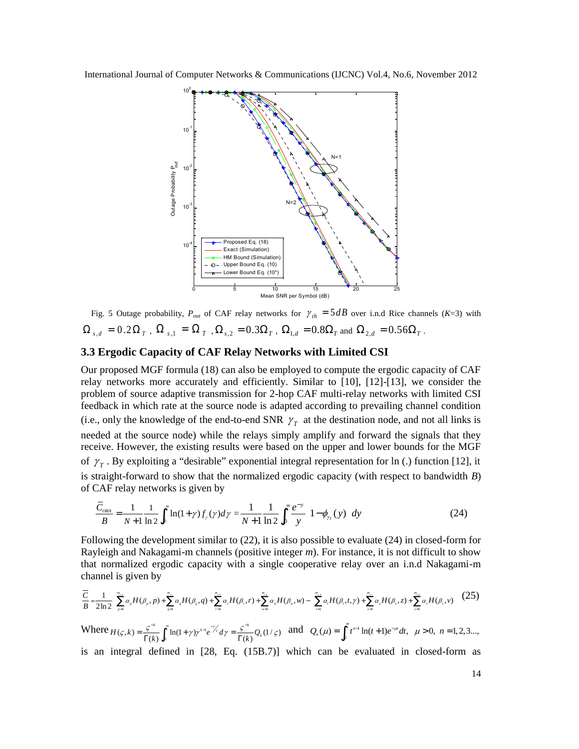

Fig. 5 Outage probability,  $P_{out}$  of CAF relay networks for  $\gamma_{th} = 5 dB$  over i.n.d Rice channels (*K*=3) with  $\Omega_{s,d}$  =  $0.2 \Omega_{T}$  ,  $\Omega_{s,1}$  =  $\Omega_{T}$  ,  $\Omega_{s,2}$  =  $0.3 \Omega_{T}$  ,  $\Omega_{1,d}$  =  $0.8 \Omega_{T}$  and  $\Omega_{2,d}$  =  $0.56 \Omega_{T}$  .

#### **3.3 Ergodic Capacity of CAF Relay Networks with Limited CSI**

Our proposed MGF formula (18) can also be employed to compute the ergodic capacity of CAF relay networks more accurately and efficiently. Similar to [10], [12]-[13], we consider the problem of source adaptive transmission for 2-hop CAF multi-relay networks with limited CSI feedback in which rate at the source node is adapted according to prevailing channel condition (i.e., only the knowledge of the end-to-end SNR  $\gamma<sub>T</sub>$  at the destination node, and not all links is needed at the source node) while the relays simply amplify and forward the signals that they receive. However, the existing results were based on the upper and lower bounds for the MGF of  $\gamma$ <sub>T</sub>. By exploiting a "desirable" exponential integral representation for ln (.) function [12], it is straight-forward to show that the normalized ergodic capacity (with respect to bandwidth *B*) of CAF relay networks is given by

$$
\frac{\bar{C}_{\text{ORA}}}{B} = \frac{1}{N+1} \frac{1}{\ln 2} \int_0^\infty \ln(1+\gamma) f_\gamma(\gamma) d\gamma = \frac{1}{N+1} \frac{1}{\ln 2} \int_0^\infty \frac{e^{-y}}{y} \Big[ 1 - \phi_{\gamma_\gamma}(y) \Big] dy \tag{24}
$$

Following the development similar to (22), it is also possible to evaluate (24) in closed-form for Rayleigh and Nakagami-m channels (positive integer *m*). For instance, it is not difficult to show that normalized ergodic capacity with a single cooperative relay over an i.n.d Nakagami-m channel is given by

$$
\frac{\overline{C}}{B} = \frac{1}{2\ln 2} \left[ \sum_{n=1}^{m_{\nu}} \alpha_{\nu} H(\beta_{\nu}, p) + \sum_{q=1}^{m_{\nu}} \alpha_{q} H(\beta_{q}, q) + \sum_{r=1}^{m_{\nu}} \alpha_{r} H(\beta_{r}, r) + \sum_{w=1}^{m_{\nu}} \alpha_{w} H(\beta_{w}, w) - \left( \sum_{i=1}^{m_{\nu}} \alpha_{i} H(\beta_{i}, t, \gamma) + \sum_{i=1}^{m_{\nu}} \alpha_{i} H(\beta_{i}, z) + \sum_{v=1}^{m_{\nu}} \alpha_{v} H(\beta_{v}, v) \right) \right] (25)
$$
\nWhere

\n
$$
H(\varsigma, k) = \frac{\varsigma^{-k}}{\Gamma(k)} \int_{0}^{\infty} \ln(1 + \gamma) \gamma^{k-1} e^{-\gamma' \varsigma} d\gamma = \frac{\varsigma^{-k}}{\Gamma(k)} Q_{k}(1/\varsigma) \quad \text{and} \quad Q_{n}(\mu) = \int_{0}^{\infty} t^{n-1} \ln(t+1) e^{-\mu t} dt, \quad \mu > 0, \ n = 1, 2, 3, \dots,
$$

is an integral defined in [28, Eq. (15B.7)] which can be evaluated in closed-form as

14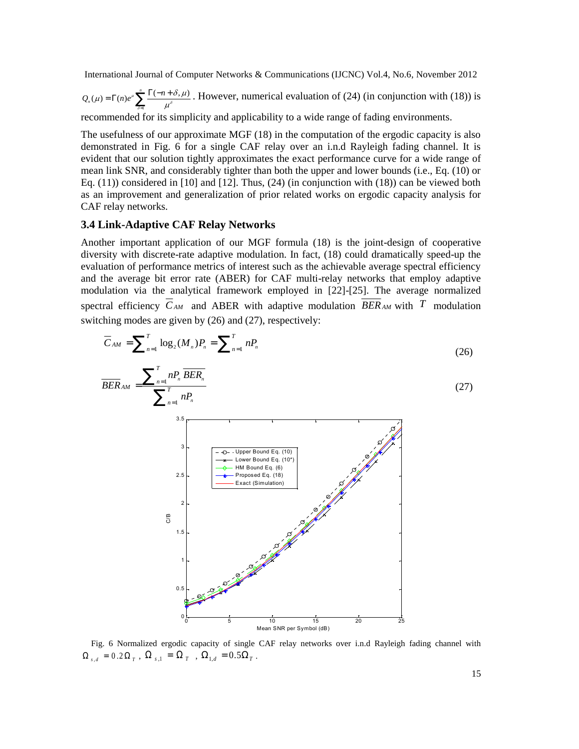$\mathcal{L}(\mu) = \Gamma(n)e^{\mu}\sum_{\delta=1}^{n}\frac{\Gamma(-n+\delta,\mu)}{\mu^{\delta}}$  $Q_n(\mu) = \Gamma(n)e^{\mu} \sum_{\delta=1}^n \frac{\Gamma(-n+\delta,\mu)}{\mu^{\delta}}$ . However, numerical evaluation of (24) (in conjunction with (18)) is recommended for its simplicity and applicability to a wide range of fading environments.

The usefulness of our approximate MGF (18) in the computation of the ergodic capacity is also demonstrated in Fig. 6 for a single CAF relay over an i.n.d Rayleigh fading channel. It is evident that our solution tightly approximates the exact performance curve for a wide range of mean link SNR, and considerably tighter than both the upper and lower bounds (i.e., Eq. (10) or Eq.  $(11)$ ) considered in [10] and [12]. Thus,  $(24)$  (in conjunction with  $(18)$ ) can be viewed both as an improvement and generalization of prior related works on ergodic capacity analysis for CAF relay networks.

#### **3.4 Link-Adaptive CAF Relay Networks**

Another important application of our MGF formula (18) is the joint-design of cooperative diversity with discrete-rate adaptive modulation. In fact, (18) could dramatically speed-up the evaluation of performance metrics of interest such as the achievable average spectral efficiency and the average bit error rate (ABER) for CAF multi-relay networks that employ adaptive modulation via the analytical framework employed in [22]-[25]. The average normalized spectral efficiency  $\overline{C}_{AM}$  and ABER with adaptive modulation  $\overline{BER}_{AM}$  with  $T$  modulation switching modes are given by (26) and (27), respectively:

$$
\overline{C}_{AM} = \sum_{n=1}^{T} \log_2(M_n) P_n = \sum_{n=1}^{T} n P_n
$$
\n(26)

$$
\overline{BER}_{AM} = \frac{\sum_{n=1}^{T} nP_n \overline{BER_n}}{\sum_{n=1}^{T} nP_n}
$$
\n(27)



Fig. 6 Normalized ergodic capacity of single CAF relay networks over i.n.d Rayleigh fading channel with  $\Omega_{s,d} = 0.2 \Omega_{T}$ ,  $\Omega_{s,1} = \Omega_{T}$ ,  $\Omega_{1,d} = 0.5 \Omega_{T}$ .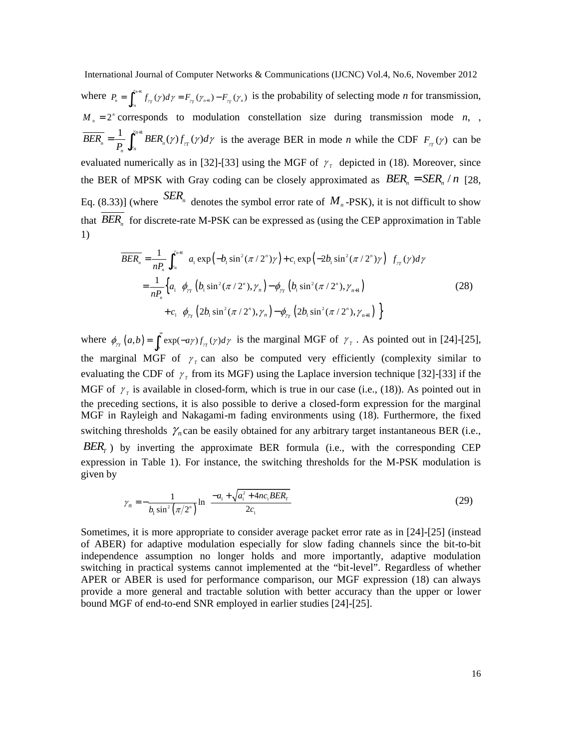International Journal of Computer Networks & Communications (IJCNC) Vol.4, No.6, November 2012 where  $P_n = \int_{0}^{\gamma_{n+1}} f_{rr}(\gamma) d\gamma = F_{rr}(\gamma_{n+1}) - F_{rr}(\gamma_n)$  $P_{n} = \int_{0}^{\gamma_{n+1}} f_{\gamma_{T}}(\gamma) d\gamma = F_{\gamma_{T}}(\gamma_{n+1}) - F_{\gamma_{T}}(\gamma_{n+1})$ *n*  $=\int_{r_n}^{r_{n+1}} f_{\tau}(\gamma) d\gamma = F_{\tau}(\gamma_{n+1}) - F_{\tau}(\gamma_n)$  is the probability of selecting mode *n* for transmission, γ  $M_n = 2^n$  corresponds to modulation constellation size during transmission mode *n*, ,  $\frac{1}{\sqrt{n}}\int^{\gamma_{n+1}} BER_n(\gamma)f_{rr}(\gamma)$  $P_n \bigcup_{\gamma_n} P_{\gamma_n}$  $BER_n = \frac{1}{R}$   $BER_n(\gamma) f_{rr}(\gamma) d$ *P* γ  $=\frac{1}{P}\int_{\gamma_n}^{\gamma_{n+1}} BER_n(\gamma) f_{\gamma}( \gamma) d\gamma$  is the average BER in mode *n* while the CDF  $F_{\gamma}( \gamma)$  can be evaluated numerically as in [32]-[33] using the MGF of  $\gamma$ <sub>r</sub> depicted in (18). Moreover, since the BER of MPSK with Gray coding can be closely approximated as  $BER_n = SER_n / n$  [28, Eq. (8.33)] (where  $SER_n$  denotes the symbol error rate of  $M_n$ -PSK), it is not difficult to show that  $BER_n$  for discrete-rate M-PSK can be expressed as (using the CEP approximation in Table 1)

$$
\overline{BER_n} = \frac{1}{nP_n} \int_{\gamma_n}^{\gamma_{n+1}} \Big[ a_1 \exp\Big(-b_1 \sin^2(\pi/2^n)\gamma\Big) + c_1 \exp\Big(-2b_1 \sin^2(\pi/2^n)\gamma\Big) \Big] f_{\gamma_T}(\gamma) d\gamma
$$
  
\n
$$
= \frac{1}{nP_n} \Big\{ a_1 \Big[ \phi_{\gamma_T} \Big(b_1 \sin^2(\pi/2^n), \gamma_n\Big) - \phi_{\gamma_T} \Big(b_1 \sin^2(\pi/2^n), \gamma_{n+1}\Big) \Big] + c_1 \Big[ \phi_{\gamma_T} \Big(2b_1 \sin^2(\pi/2^n), \gamma_n\Big) - \phi_{\gamma_T} \Big(2b_1 \sin^2(\pi/2^n), \gamma_{n+1}\Big) \Big] \Big\}
$$
(28)

where  $\phi_{\gamma_T}(a, b) = \int_b^{\infty} \exp(-a\gamma) f_{\gamma_T}(\gamma) d\gamma$  is the marginal MGF of  $\gamma_T$ . As pointed out in [24]-[25], the marginal MGF of  $\gamma$ <sub>r</sub> can also be computed very efficiently (complexity similar to evaluating the CDF of  $\gamma$ <sub>r</sub> from its MGF) using the Laplace inversion technique [32]-[33] if the MGF of  $\gamma_{\tau}$  is available in closed-form, which is true in our case (i.e., (18)). As pointed out in the preceding sections, it is also possible to derive a closed-form expression for the marginal MGF in Rayleigh and Nakagami-m fading environments using (18). Furthermore, the fixed switching thresholds  $\gamma_n$  can be easily obtained for any arbitrary target instantaneous BER (i.e.,  $BER<sub>T</sub>$ ) by inverting the approximate BER formula (i.e., with the corresponding CEP expression in Table 1). For instance, the switching thresholds for the M-PSK modulation is given by

$$
\gamma_n = -\frac{1}{b_1 \sin^2(\pi/2^n)} \ln\left(\frac{-a_1 + \sqrt{a_1^2 + 4nc_1BER_r}}{2c_1}\right)
$$
(29)

Sometimes, it is more appropriate to consider average packet error rate as in [24]-[25] (instead of ABER) for adaptive modulation especially for slow fading channels since the bit-to-bit independence assumption no longer holds and more importantly, adaptive modulation switching in practical systems cannot implemented at the "bit-level". Regardless of whether APER or ABER is used for performance comparison, our MGF expression (18) can always provide a more general and tractable solution with better accuracy than the upper or lower bound MGF of end-to-end SNR employed in earlier studies [24]-[25].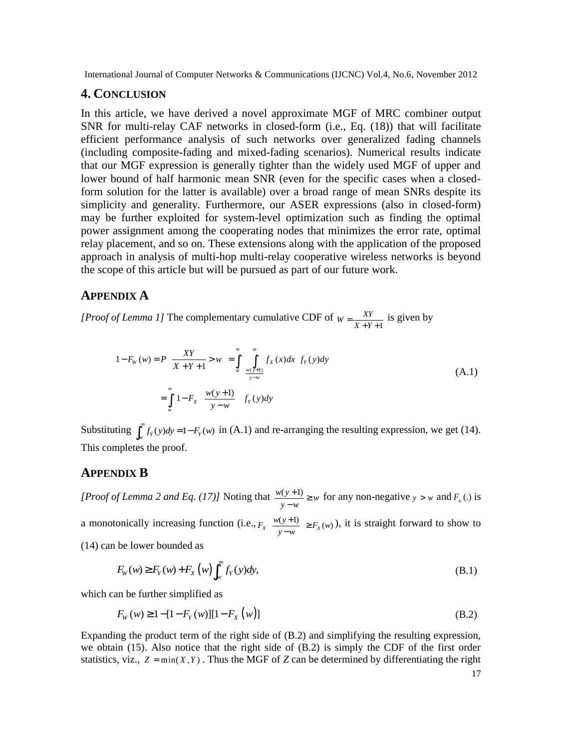# **4. CONCLUSION**

In this article, we have derived a novel approximate MGF of MRC combiner output SNR for multi-relay CAF networks in closed-form (i.e., Eq. (18)) that will facilitate efficient performance analysis of such networks over generalized fading channels (including composite-fading and mixed-fading scenarios). Numerical results indicate that our MGF expression is generally tighter than the widely used MGF of upper and lower bound of half harmonic mean SNR (even for the specific cases when a closedform solution for the latter is available) over a broad range of mean SNRs despite its simplicity and generality. Furthermore, our ASER expressions (also in closed-form) may be further exploited for system-level optimization such as finding the optimal power assignment among the cooperating nodes that minimizes the error rate, optimal relay placement, and so on. These extensions along with the application of the proposed approach in analysis of multi-hop multi-relay cooperative wireless networks is beyond the scope of this article but will be pursued as part of our future work.

## **APPENDIX A**

*[Proof of Lemma 1]* The complementary cumulative CDF of  $W = \frac{XY}{X+Y+1}$  is given by

$$
1 - F_w(w) = P\left[\frac{XY}{X+Y+1} > w\right] = \int_{w}^{\infty} \left(\int_{\frac{w(y+1)}{y-w}}^{\infty} f_X(x) dx\right) f_Y(y) dy
$$
\n
$$
= \int_{w}^{\infty} \left[1 - F_X\left(\frac{w(y+1)}{y-w}\right)\right] f_Y(y) dy
$$
\n(A.1)

Substituting  $\int_{w}^{\infty} f_{Y}(y) dy = 1 - F_{Y}(w)$  in (A.1) and re-arranging the resulting expression, we get (14). This completes the proof.

## **APPENDIX B**

*[Proof of Lemma 2 and Eq. (17)]* Noting that  $\frac{w(y+1)}{y-w} \geq w$  $\frac{y+1}{-w} \geq w$  for any non-negative  $y > w$  and  $F_x(.)$  is a monotonically increasing function (i.e.,  $F_x \left( \frac{w(y+1)}{y-w} \right) \ge F_x(w)$  $\left(\frac{w(y+1)}{y-w}\right) \ge$ ), it is straight forward to show to (14) can be lower bounded as

$$
F_W(w) \ge F_Y(w) + F_X(w) \int_w^{\infty} f_Y(y) dy,
$$
\n(B.1)

which can be further simplified as

$$
F_{W}(w) \ge 1 - [1 - F_{Y}(w)][1 - F_{X}(w)]
$$
\n(B.2)

Expanding the product term of the right side of (B.2) and simplifying the resulting expression, we obtain (15). Also notice that the right side of (B.2) is simply the CDF of the first order statistics, viz.,  $Z = min(X, Y)$ . Thus the MGF of *Z* can be determined by differentiating the right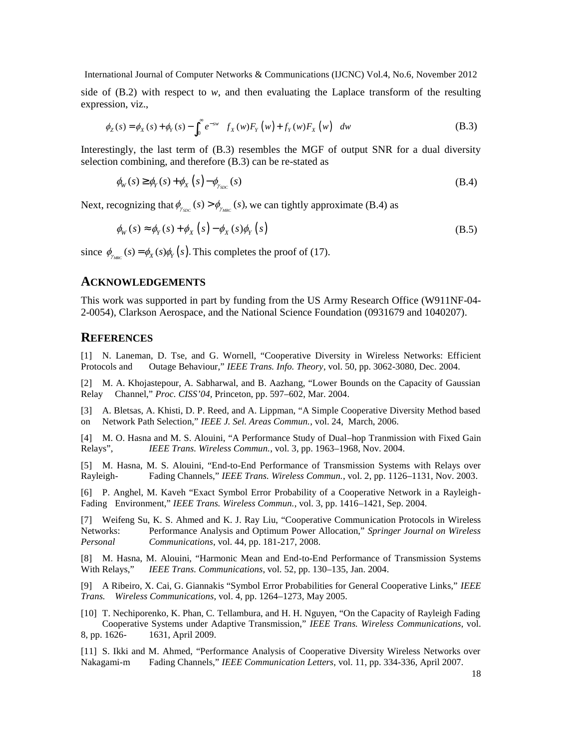side of  $(B.2)$  with respect to  $w$ , and then evaluating the Laplace transform of the resulting expression, viz.,

$$
\phi_Z(s) = \phi_X(s) + \phi_Y(s) - \int_0^\infty e^{-sw} \left[ f_X(w) F_Y(w) + f_Y(w) F_X(w) \right] dw
$$
\n(B.3)

Interestingly, the last term of (B.3) resembles the MGF of output SNR for a dual diversity selection combining, and therefore (B.3) can be re-stated as

$$
\phi_W(s) \ge \phi_Y(s) + \phi_X(s) - \phi_{\gamma_{SDC}}(s) \tag{B.4}
$$

Next, recognizing that  $\phi_{\gamma_{SDC}}(s) > \phi_{\gamma_{MRC}}(s)$ , we can tightly approximate (B.4) as

$$
\phi_W(s) \approx \phi_Y(s) + \phi_X(s) - \phi_X(s)\phi_Y(s)
$$
\n(B.5)

since  $\phi_{\text{max}}(s) = \phi_{\text{X}}(s)\phi_{\text{Y}}(s)$ . This completes the proof of (17).

#### **ACKNOWLEDGEMENTS**

This work was supported in part by funding from the US Army Research Office (W911NF-04- 2-0054), Clarkson Aerospace, and the National Science Foundation (0931679 and 1040207).

### **REFERENCES**

[1] N. Laneman, D. Tse, and G. Wornell, "Cooperative Diversity in Wireless Networks: Efficient Protocols and Outage Behaviour," *IEEE Trans. Info. Theory*, vol. 50, pp. 3062-3080, Dec. 2004.

[2] M. A. Khojastepour, A. Sabharwal, and B. Aazhang, "Lower Bounds on the Capacity of Gaussian Relay Channel," *Proc. CISS'04,* Princeton, pp. 597–602, Mar. 2004.

[3] A. Bletsas, A. Khisti, D. P. Reed, and A. Lippman, "A Simple Cooperative Diversity Method based on Network Path Selection," *IEEE J. Sel. Areas Commun.*, vol. 24, March, 2006.

[4] M. O. Hasna and M. S. Alouini, "A Performance Study of Dual–hop Tranmission with Fixed Gain Relays", *IEEE Trans. Wireless Commun.*, vol. 3, pp. 1963–1968, Nov. 2004.

[5] M. Hasna, M. S. Alouini, "End-to-End Performance of Transmission Systems with Relays over Rayleigh- Fading Channels," *IEEE Trans. Wireless Commun.*, vol. 2, pp. 1126–1131, Nov. 2003.

[6] P. Anghel, M. Kaveh "Exact Symbol Error Probability of a Cooperative Network in a Rayleigh-Fading Environment," *IEEE Trans. Wireless Commun.*, vol. 3, pp. 1416–1421, Sep. 2004.

[7] Weifeng Su, K. S. Ahmed and K. J. Ray Liu, "Cooperative Communication Protocols in Wireless Networks: Performance Analysis and Optimum Power Allocation," *Springer Journal on Wireless Personal Communications*, vol. 44, pp. 181-217, 2008.

[8] M. Hasna, M. Alouini, "Harmonic Mean and End-to-End Performance of Transmission Systems With Relays," *IEEE Trans. Communications*, vol. 52, pp. 130–135, Jan. 2004.

[9] A Ribeiro, X. Cai, G. Giannakis "Symbol Error Probabilities for General Cooperative Links," *IEEE Trans. Wireless Communications*, vol. 4, pp. 1264–1273, May 2005.

[10] T. Nechiporenko, K. Phan, C. Tellambura, and H. H. Nguyen, "On the Capacity of Rayleigh Fading Cooperative Systems under Adaptive Transmission," *IEEE Trans. Wireless Communications*, vol. 8, pp. 1626- 1631, April 2009.

[11] S. Ikki and M. Ahmed, "Performance Analysis of Cooperative Diversity Wireless Networks over Nakagami-m Fading Channels," *IEEE Communication Letters*, vol. 11, pp. 334-336, April 2007.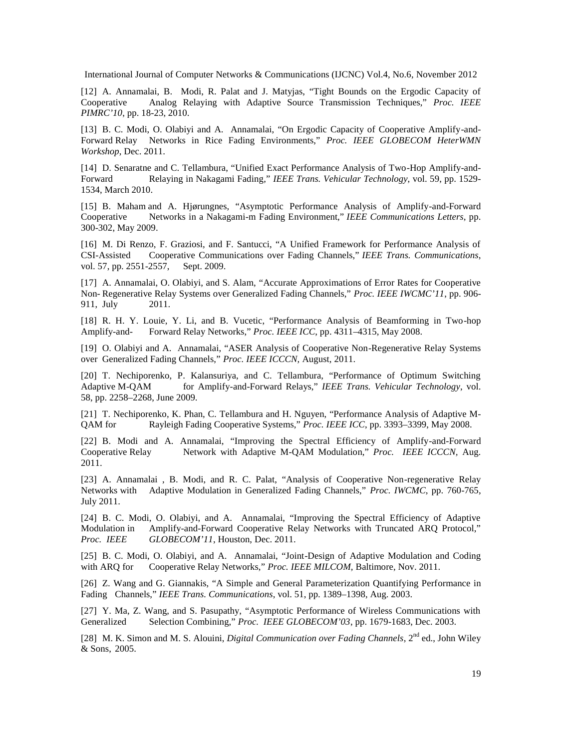[12] A. Annamalai, B. Modi, R. Palat and J. Matyjas, "Tight Bounds on the Ergodic Capacity of Cooperative Analog Relaying with Adaptive Source Transmission Techniques," *Proc. IEEE PIMRC'10*, pp. 18-23, 2010.

[13] B. C. Modi, O. Olabiyi and A. Annamalai, "On Ergodic Capacity of Cooperative Amplify-and-Forward Relay Networks in Rice Fading Environments," *Proc. IEEE GLOBECOM HeterWMN Workshop*, Dec. 2011.

[14] D. Senaratne and C. Tellambura, "Unified Exact Performance Analysis of Two-Hop Amplify-and-Forward Relaying in Nakagami Fading," *IEEE Trans. Vehicular Technology*, vol. 59, pp. 1529- 1534, March 2010.

[15] B. Maham and A. Hjørungnes, "Asymptotic Performance Analysis of Amplify-and-Forward Cooperative Networks in a Nakagami-m Fading Environment," *IEEE Communications Letters*, pp. 300-302, May 2009.

[16] M. Di Renzo, F. Graziosi, and F. Santucci, "A Unified Framework for Performance Analysis of CSI-Assisted Cooperative Communications over Fading Channels," *IEEE Trans. Communications*, vol. 57, pp. 2551-2557, Sept. 2009.

[17] A. Annamalai, O. Olabiyi, and S. Alam, "Accurate Approximations of Error Rates for Cooperative Non- Regenerative Relay Systems over Generalized Fading Channels," *Proc. IEEE IWCMC'11*, pp. 906- 911, July 2011.

[18] R. H. Y. Louie, Y. Li, and B. Vucetic, "Performance Analysis of Beamforming in Two-hop Amplify-and- Forward Relay Networks," *Proc. IEEE ICC*, pp. 4311–4315, May 2008.

[19] O. Olabiyi and A. Annamalai, "ASER Analysis of Cooperative Non-Regenerative Relay Systems over Generalized Fading Channels," *Proc. IEEE ICCCN,* August, 2011.

[20] T. Nechiporenko, P. Kalansuriya, and C. Tellambura, "Performance of Optimum Switching Adaptive M-QAM for Amplify-and-Forward Relays," *IEEE Trans. Vehicular Technology*, vol. 58, pp. 2258–2268, June 2009.

[21] T. Nechiporenko, K. Phan, C. Tellambura and H. Nguyen, "Performance Analysis of Adaptive M-QAM for Rayleigh Fading Cooperative Systems," *Proc. IEEE ICC*, pp. 3393–3399, May 2008.

[22] B. Modi and A. Annamalai, "Improving the Spectral Efficiency of Amplify-and-Forward Cooperative Relay Network with Adaptive M-QAM Modulation," *Proc. IEEE ICCCN,* Aug. 2011.

[23] A. Annamalai , B. Modi, and R. C. Palat, "Analysis of Cooperative Non-regenerative Relay Networks with Adaptive Modulation in Generalized Fading Channels," *Proc. IWCMC*, pp. 760-765, July 2011.

[24] B. C. Modi, O. Olabiyi, and A. Annamalai, "Improving the Spectral Efficiency of Adaptive Modulation in Amplify-and-Forward Cooperative Relay Networks with Truncated ARQ Protocol," *Proc. IEEE GLOBECOM'11*, Houston, Dec. 2011.

[25] B. C. Modi, O. Olabiyi, and A. Annamalai, "Joint-Design of Adaptive Modulation and Coding with ARQ for Cooperative Relay Networks," *Proc. IEEE MILCOM,* Baltimore, Nov. 2011.

[26] Z. Wang and G. Giannakis, "A Simple and General Parameterization Quantifying Performance in Fading Channels," *IEEE Trans. Communications*, vol. 51, pp. 1389–1398, Aug. 2003.

[27] Y. Ma, Z. Wang, and S. Pasupathy, "Asymptotic Performance of Wireless Communications with Generalized Selection Combining," *Proc. IEEE GLOBECOM'03*, pp. 1679-1683, Dec. 2003.

[28] M. K. Simon and M. S. Alouini, *Digital Communication over Fading Channels*, 2<sup>nd</sup> ed., John Wiley & Sons, 2005.